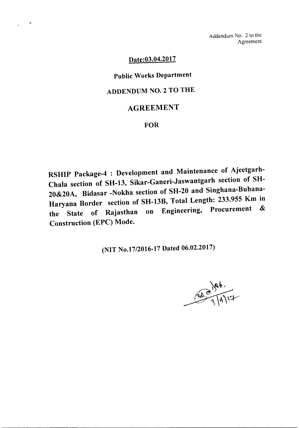Addendum No. 2 to the Agreement

### Date:03.04.2017

# Public Works Department

## ADDENDUM NO.2 TO THE

### AGREEMENT

### **FOR**

RSHIP Package-4 : Development and Maintenance of Ajeetgarh-Chala section of SH-13, Sikar-Ganeri-Jaswantgarh section of SH-20&20A, Bidasar -Nokha section of SH-20 and Singhana-Buhana-Haryana Border section of SH-13B, Total Length: 233.955 Km in<br>Fraineering Procurement & the State of Rajasthan on Engineering, Procurement Construction (EPC) Mode.

(NIT No.17/2016-17 Dated 06.02.2017)

 $346.$